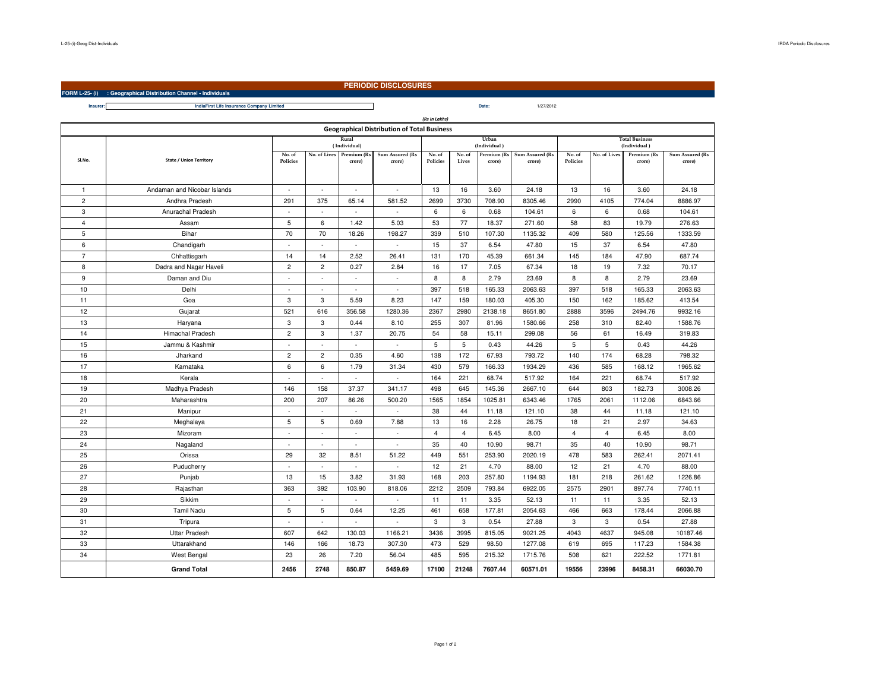**Insurer:**

## **PERIODIC DISCLOSURES**

**FORM L-25- (i) : Geographical Distribution Channel - Individuals**

 **Date:IndiaFirst Life Insurance Company Limited**Date: 1/27/2012

| (Rs in Lakhs)                                      |                                |                       |                |                          |                          |                |                |                       |                        |                                       |                |             |                 |
|----------------------------------------------------|--------------------------------|-----------------------|----------------|--------------------------|--------------------------|----------------|----------------|-----------------------|------------------------|---------------------------------------|----------------|-------------|-----------------|
| <b>Geographical Distribution of Total Business</b> |                                |                       |                |                          |                          |                |                |                       |                        |                                       |                |             |                 |
|                                                    |                                | Rural<br>(Individual) |                |                          |                          |                |                | Urban<br>(Individual) |                        | <b>Total Business</b><br>(Individual) |                |             |                 |
| SI.No.                                             |                                | No. of                |                | No. of Lives Premium (Rs | Sum Assured (Rs          |                | No. of         | Premium (Rs           | <b>Sum Assured (Rs</b> | No. of                                | No. of Lives   | Premium (Rs | Sum Assured (Rs |
|                                                    | <b>State / Union Territory</b> | Policies              |                | crore)                   | crore)                   | Policies       | Lives          | crore)                | crore)                 | Policies                              |                | crore)      | crore)          |
|                                                    |                                |                       |                |                          |                          |                |                |                       |                        |                                       |                |             |                 |
| $\mathbf{1}$                                       | Andaman and Nicobar Islands    | $\sim$                | $\sim$         | ×.                       | $\sim$                   | 13             | 16             | 3.60                  | 24.18                  | 13                                    | 16             | 3.60        | 24.18           |
| $\overline{2}$                                     | Andhra Pradesh                 | 291                   | 375            | 65.14                    | 581.52                   | 2699           | 3730           | 708.90                | 8305.46                | 2990                                  | 4105           | 774.04      | 8886.97         |
| 3                                                  | Anurachal Pradesh              | $\sim$                |                | ٠                        |                          | 6              | 6              | 0.68                  | 104.61                 | 6                                     | 6              | 0.68        | 104.61          |
| 4                                                  | Assam                          | 5                     | 6              | 1.42                     | 5.03                     | 53             | 77             | 18.37                 | 271.60                 | 58                                    | 83             | 19.79       | 276.63          |
| 5                                                  | Bihar                          | 70                    | 70             | 18.26                    | 198.27                   | 339            | 510            | 107.30                | 1135.32                | 409                                   | 580            | 125.56      | 1333.59         |
| 6                                                  | Chandigarh                     | ×.                    | $\sim$         | ×.                       | $\bar{z}$                | 15             | 37             | 6.54                  | 47.80                  | 15                                    | 37             | 6.54        | 47.80           |
| $\overline{7}$                                     | Chhattisgarh                   | 14                    | 14             | 2.52                     | 26.41                    | 131            | 170            | 45.39                 | 661.34                 | 145                                   | 184            | 47.90       | 687.74          |
| 8                                                  | Dadra and Nagar Haveli         | $\overline{c}$        | $\overline{2}$ | 0.27                     | 2.84                     | 16             | 17             | 7.05                  | 67.34                  | 18                                    | 19             | 7.32        | 70.17           |
| 9                                                  | Daman and Diu                  | $\sim$                | ×.             | ×.                       | $\sim$                   | 8              | 8              | 2.79                  | 23.69                  | 8                                     | 8              | 2.79        | 23.69           |
| 10                                                 | Delhi                          |                       |                | ×.                       | ×,                       | 397            | 518            | 165.33                | 2063.63                | 397                                   | 518            | 165.33      | 2063.63         |
| 11                                                 | Goa                            | 3                     | 3              | 5.59                     | 8.23                     | 147            | 159            | 180.03                | 405.30                 | 150                                   | 162            | 185.62      | 413.54          |
| 12                                                 | Gujarat                        | 521                   | 616            | 356.58                   | 1280.36                  | 2367           | 2980           | 2138.18               | 8651.80                | 2888                                  | 3596           | 2494.76     | 9932.16         |
| 13                                                 | Haryana                        | 3                     | 3              | 0.44                     | 8.10                     | 255            | 307            | 81.96                 | 1580.66                | 258                                   | 310            | 82.40       | 1588.76         |
| 14                                                 | <b>Himachal Pradesh</b>        | $\overline{c}$        | 3              | 1.37                     | 20.75                    | 54             | 58             | 15.11                 | 299.08                 | 56                                    | 61             | 16.49       | 319.83          |
| 15                                                 | Jammu & Kashmir                | ×                     |                | $\sim$                   | ×.                       | 5              | 5              | 0.43                  | 44.26                  | 5                                     | 5              | 0.43        | 44.26           |
| 16                                                 | Jharkand                       | $\overline{c}$        | $\overline{2}$ | 0.35                     | 4.60                     | 138            | 172            | 67.93                 | 793.72                 | 140                                   | 174            | 68.28       | 798.32          |
| 17                                                 | Karnataka                      | 6                     | 6              | 1.79                     | 31.34                    | 430            | 579            | 166.33                | 1934.29                | 436                                   | 585            | 168.12      | 1965.62         |
| 18                                                 | Kerala                         | $\sim$                |                | ×.                       | ×                        | 164            | 221            | 68.74                 | 517.92                 | 164                                   | 221            | 68.74       | 517.92          |
| 19                                                 | Madhya Pradesh                 | 146                   | 158            | 37.37                    | 341.17                   | 498            | 645            | 145.36                | 2667.10                | 644                                   | 803            | 182.73      | 3008.26         |
| 20                                                 | Maharashtra                    | 200                   | 207            | 86.26                    | 500.20                   | 1565           | 1854           | 1025.81               | 6343.46                | 1765                                  | 2061           | 1112.06     | 6843.66         |
| 21                                                 | Manipur                        | ×.                    |                |                          | ×,                       | 38             | 44             | 11.18                 | 121.10                 | 38                                    | 44             | 11.18       | 121.10          |
| 22                                                 | Meghalaya                      | 5                     | 5              | 0.69                     | 7.88                     | 13             | 16             | 2.28                  | 26.75                  | 18                                    | 21             | 2.97        | 34.63           |
| 23                                                 | Mizoram                        | $\sim$                | $\sim$         | $\sim$                   | $\overline{\phantom{a}}$ | $\overline{4}$ | $\overline{4}$ | 6.45                  | 8.00                   | $\overline{4}$                        | $\overline{4}$ | 6.45        | 8.00            |
| 24                                                 | Nagaland                       | ÷                     | $\sim$         | ×,                       | ×                        | 35             | 40             | 10.90                 | 98.71                  | 35                                    | 40             | 10.90       | 98.71           |
| 25                                                 | Orissa                         | 29                    | 32             | 8.51                     | 51.22                    | 449            | 551            | 253.90                | 2020.19                | 478                                   | 583            | 262.41      | 2071.41         |
| 26                                                 | Puducherry                     | ×.                    | ÷.             | ×,                       | $\omega$                 | 12             | 21             | 4.70                  | 88.00                  | 12                                    | 21             | 4.70        | 88.00           |
| 27                                                 | Punjab                         | 13                    | 15             | 3.82                     | 31.93                    | 168            | 203            | 257.80                | 1194.93                | 181                                   | 218            | 261.62      | 1226.86         |
| 28                                                 | Rajasthan                      | 363                   | 392            | 103.90                   | 818.06                   | 2212           | 2509           | 793.84                | 6922.05                | 2575                                  | 2901           | 897.74      | 7740.11         |
| 29                                                 | Sikkim                         | $\sim$                | ×.             | i.                       | ×.                       | 11             | 11             | 3.35                  | 52.13                  | 11                                    | 11             | 3.35        | 52.13           |
| 30                                                 | <b>Tamil Nadu</b>              | 5                     | 5              | 0.64                     | 12.25                    | 461            | 658            | 177.81                | 2054.63                | 466                                   | 663            | 178.44      | 2066.88         |
| 31                                                 | Tripura                        | ×.                    | $\sim$         | ×.                       | $\sim$                   | 3              | $\mathbf 3$    | 0.54                  | 27.88                  | 3                                     | 3              | 0.54        | 27.88           |
| 32                                                 | <b>Uttar Pradesh</b>           | 607                   | 642            | 130.03                   | 1166.21                  | 3436           | 3995           | 815.05                | 9021.25                | 4043                                  | 4637           | 945.08      | 10187.46        |
| 33                                                 | Uttarakhand                    | 146                   | 166            | 18.73                    | 307.30                   | 473            | 529            | 98.50                 | 1277.08                | 619                                   | 695            | 117.23      | 1584.38         |
| 34                                                 | <b>West Bengal</b>             | 23                    | 26             | 7.20                     | 56.04                    | 485            | 595            | 215.32                | 1715.76                | 508                                   | 621            | 222.52      | 1771.81         |
|                                                    | <b>Grand Total</b>             | 2456                  | 2748           | 850.87                   | 5459.69                  | 17100          | 21248          | 7607.44               | 60571.01               | 19556                                 | 23996          | 8458.31     | 66030.70        |